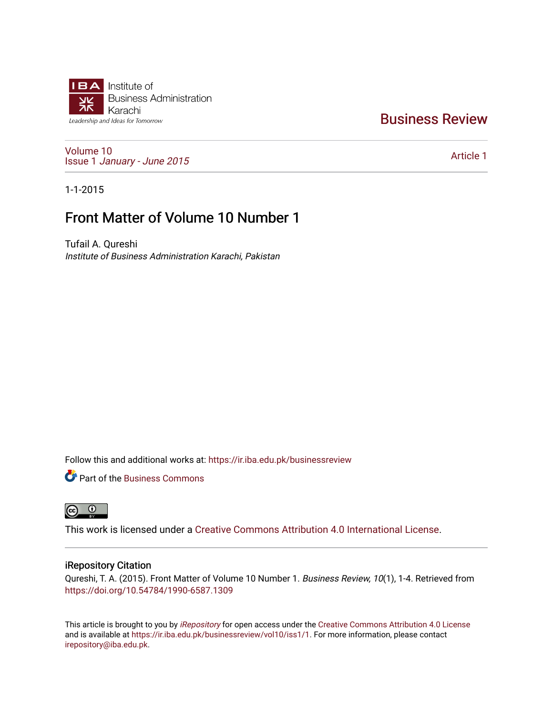

### [Business Review](https://ir.iba.edu.pk/businessreview)

[Volume 10](https://ir.iba.edu.pk/businessreview/vol10) Issue 1 [January - June 2015](https://ir.iba.edu.pk/businessreview/vol10/iss1) 

[Article 1](https://ir.iba.edu.pk/businessreview/vol10/iss1/1) 

1-1-2015

### Front Matter of Volume 10 Number 1

Tufail A. Qureshi Institute of Business Administration Karachi, Pakistan

Follow this and additional works at: [https://ir.iba.edu.pk/businessreview](https://ir.iba.edu.pk/businessreview?utm_source=ir.iba.edu.pk%2Fbusinessreview%2Fvol10%2Fiss1%2F1&utm_medium=PDF&utm_campaign=PDFCoverPages) 

**P** Part of the [Business Commons](http://network.bepress.com/hgg/discipline/622?utm_source=ir.iba.edu.pk%2Fbusinessreview%2Fvol10%2Fiss1%2F1&utm_medium=PDF&utm_campaign=PDFCoverPages)



This work is licensed under a [Creative Commons Attribution 4.0 International License](https://creativecommons.org/licenses/by/4.0/).

#### iRepository Citation

Qureshi, T. A. (2015). Front Matter of Volume 10 Number 1. Business Review, 10(1), 1-4. Retrieved from <https://doi.org/10.54784/1990-6587.1309>

This article is brought to you by [iRepository](https://ir.iba.edu.pk/) for open access under the Creative Commons Attribution 4.0 License and is available at [https://ir.iba.edu.pk/businessreview/vol10/iss1/1.](https://ir.iba.edu.pk/businessreview/vol10/iss1/1) For more information, please contact [irepository@iba.edu.pk.](mailto:irepository@iba.edu.pk)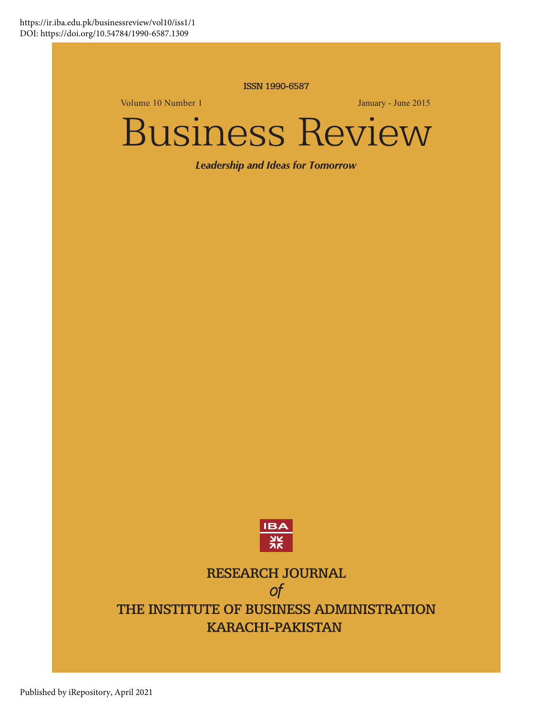ISSN 1990-6587

Volume 10 Number 1 January - June 2015

# **Business Review**

**Leadership and Ideas for Tomorrow** 



## **RESEARCH JOURNAL**  $\sigma f$

THE INSTITUTE OF BUSINESS ADMINISTRATION **KARACHI-PAKISTAN**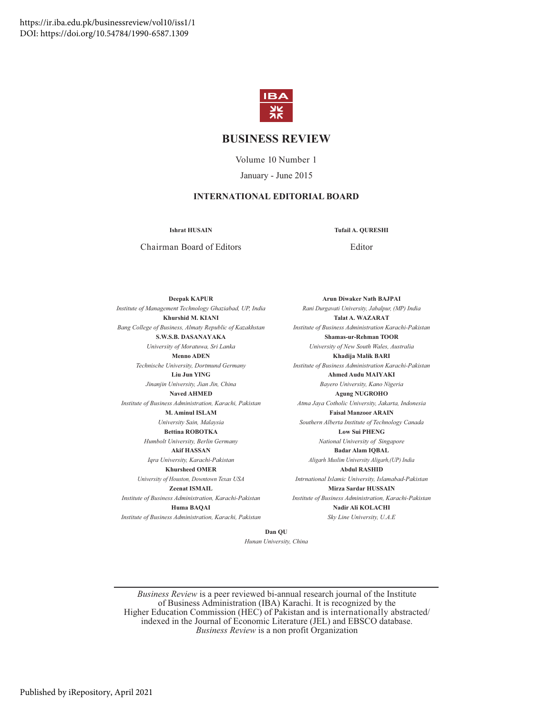

#### **BUSINESS REVIEW**

Volume 10 Number 1 January - June 2015

#### **INTERNATIONAL EDITORIAL BOARD**

**Ishrat HUSAIN Tufail A. QURESHI**

Chairman Board of Editors Editor

**Deepak KAPUR** *Institute of Management Technology Ghaziabad, UP, India* **Khurshid M. KIANI** *Bang College of Business, Almaty Republic of Kazakhstan* **S.W.S.B. DASANAYAKA** *University of Moratuwa, Sri Lanka* **Menno ADEN** *Technische University, Dortmund Germany* **Liu Jun YING** *Jinanjin University, Jian Jin, China* **Naved AHMED** *Institute of Business Administration, Karachi, Pakistan* **M. Aminul ISLAM** *University Sain, Malaysia* **Bettina ROBOTKA** *Humbolt University, Berlin Germany* **Akif HASSAN** *Iqra University, Karachi-Pakistan* **Khursheed OMER** *University of Houston, Downtown Texas USA* **Zeenat ISMAIL** *Institute of Business Administration, Karachi-Pakistan* **Huma BAQAI**

*Institute of Business Administration, Karachi, Pakistan*

**Arun Diwaker Nath BAJPAI** *Rani Durgavati University, Jabalpur, (MP) India* **Talat A. WAZARAT** *Institute of Business Administration Karachi-Pakistan* **Shamas-ur-Rehman TOOR** *University of New South Wales, Australia* **Khadija Malik BARI** *Institute of Business Administration Karachi-Pakistan* **Ahmed Audu MAIYAKI** *Bayero University, Kano Nigeria* **Agung NUGROHO** *Atma Jaya Cotholic University, Jakarta, Indonesia* **Faisal Manzoor ARAIN** *Southern Alberta Institute of Technology Canada* **Low Sui PHENG** *National University of Singapore* **Badar Alam IQBAL** *Aligarh Muslim University Aligarh,(UP) India* **Abdul RASHID** *Intrnational Islamic University, Islamabad-Pakistan* **Mirza Sardar HUSSAIN** *Institute of Business Administration, Karachi-Pakistan* **Nadir Ali KOLACHI**

*Sky Line University, U.A.E*

**Dan QU**

*Hunan University, China*

*Business Review* is a peer reviewed bi-annual research journal of the Institute of Business Administration (IBA) Karachi. It is recognized by the Higher Education Commission (HEC) of Pakistan and is internationally abstracted/ indexed in the Journal of Economic Literature (JEL) and EBSCO database. *Business Review* is a non profit Organization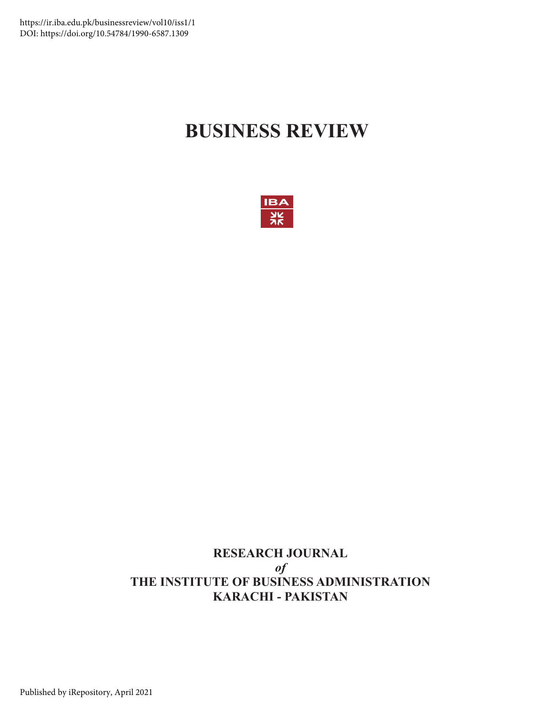## **BUSINESS REVIEW**



#### **RESEARCH JOURNAL** *of* **THE INSTITUTE OF BUSINESS ADMINISTRATION KARACHI - PAKISTAN**

Published by iRepository, April 2021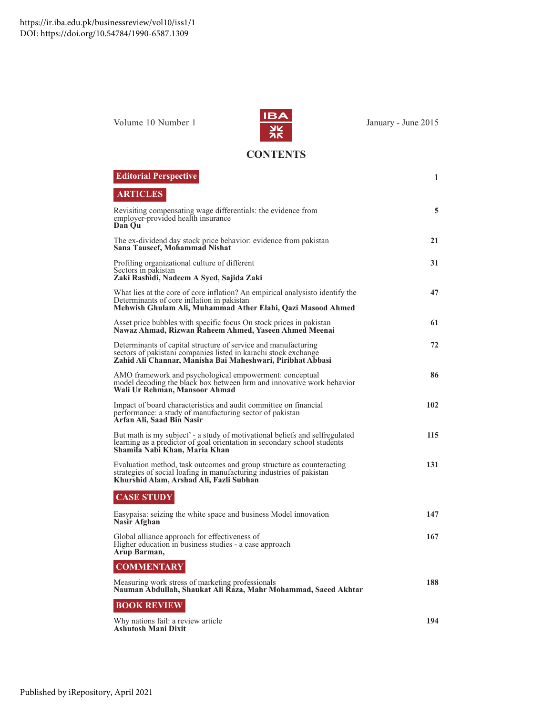

**CONTENTS**

| <b>Editorial Perspective</b>                                                                                                                                                                    | 1   |
|-------------------------------------------------------------------------------------------------------------------------------------------------------------------------------------------------|-----|
| <b>ARTICLES</b>                                                                                                                                                                                 |     |
| Revisiting compensating wage differentials: the evidence from<br>employer-provided health insurance<br>Dan Qu                                                                                   | 5   |
| The ex-dividend day stock price behavior: evidence from pakistan<br>Sana Tauseef, Mohammad Nishat                                                                                               | 21  |
| Profiling organizational culture of different<br>Sectors in pakistan<br>Zaki Rashidi, Nadeem A Syed, Sajida Zaki                                                                                | 31  |
| What lies at the core of core inflation? An empirical analysisto identify the<br>Determinants of core inflation in pakistan<br>Mehwish Ghulam Ali, Muhammad Ather Elahi, Qazi Masood Ahmed      | 47  |
| Asset price bubbles with specific focus On stock prices in pakistan<br>Nawaz Ahmad, Rizwan Raheem Ahmed, Yaseen Ahmed Meenai                                                                    | 61  |
| Determinants of capital structure of service and manufacturing<br>sectors of pakistani companies listed in karachi stock exchange<br>Zahid Ali Channar, Manisha Bai Maheshwari, Piribhat Abbasi | 72  |
| AMO framework and psychological empowerment: conceptual<br>model decoding the black box between hrm and innovative work behavior<br>Wali Ur Rehman, Mansoor Ahmad                               | 86  |
| Impact of board characteristics and audit committee on financial<br>performance: a study of manufacturing sector of pakistan<br>Arfan Ali, Saad Bin Nasir                                       | 102 |
| But math is my subject' - a study of motivational beliefs and selfregulated<br>learning as a predictor of goal orientation in secondary school students<br>Shamila Nabi Khan, Maria Khan        | 115 |
| Evaluation method, task outcomes and group structure as counteracting<br>strategies of social loafing in manufacturing industries of pakistan<br>Khurshid Alam, Arshad Ali, Fazli Subhan        | 131 |
| <b>CASE STUDY</b>                                                                                                                                                                               |     |
| Easypaisa: seizing the white space and business Model innovation<br>Nasir Afghan                                                                                                                | 147 |
| Global alliance approach for effectiveness of<br>Higher education in business studies - a case approach<br>Arup Barman,                                                                         | 167 |
| <b>COMMENTARY</b>                                                                                                                                                                               |     |
| Measuring work stress of marketing professionals<br>Nauman Abdullah, Shaukat Ali Raza, Mahr Mohammad, Saeed Akhtar                                                                              | 188 |
| <b>BOOK REVIEW</b>                                                                                                                                                                              |     |
| Why nations fail: a review article<br>Ashutosh Mani Dixit                                                                                                                                       | 194 |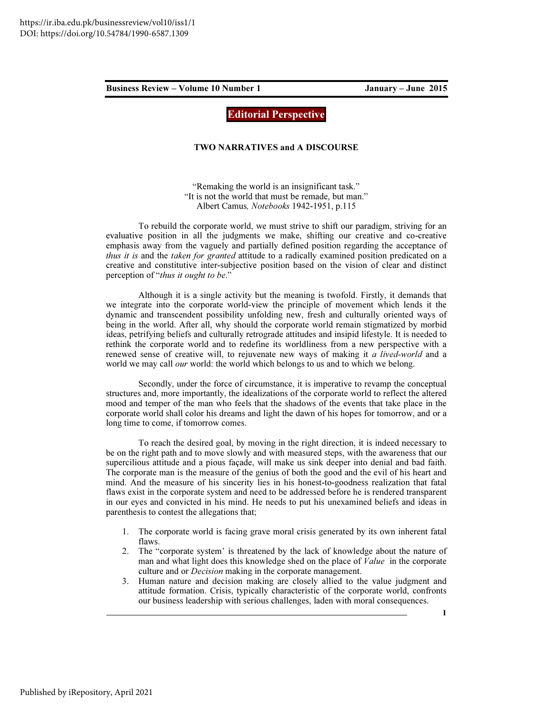Editorial Perspective

#### TWO NARRATIVES and A DISCOURSE

"Remaking the world is an insignificant task." "It is not the world that must be remade, but man." Albert Camus, Notebooks 1942-1951, p.115

To rebuild the corporate world, we must strive to shift our paradigm, striving for an evaluative position in all the judgments we make, shifting our creative and co-creative emphasis away from the vaguely and partially defined position regarding the acceptance of thus it is and the taken for granted attitude to a radically examined position predicated on a creative and constitutive inter-subjective position based on the vision of clear and distinct perception of "thus it ought to be."

Although it is a single activity but the meaning is twofold. Firstly, it demands that we integrate into the corporate world-view the principle of movement which lends it the dynamic and transcendent possibility unfolding new, fresh and culturally oriented ways of being in the world. After all, why should the corporate world remain stigmatized by morbid ideas, petrifying beliefs and culturally retrograde attitudes and insipid lifestyle. It is needed to rethink the corporate world and to redefine its worldliness from a new perspective with a renewed sense of creative will, to rejuvenate new ways of making it a lived-world and a world we may call *our* world: the world which belongs to us and to which we belong.

Secondly, under the force of circumstance, it is imperative to revamp the conceptual structures and, more importantly, the idealizations of the corporate world to reflect the altered mood and temper of the man who feels that the shadows of the events that take place in the corporate world shall color his dreams and light the dawn of his hopes for tomorrow, and or a long time to come, if tomorrow comes.

To reach the desired goal, by moving in the right direction, it is indeed necessary to be on the right path and to move slowly and with measured steps, with the awareness that our supercilious attitude and a pious façade, will make us sink deeper into denial and bad faith. The corporate man is the measure of the genius of both the good and the evil of his heart and mind. And the measure of his sincerity lies in his honest-to-goodness realization that fatal flaws exist in the corporate system and need to be addressed before he is rendered transparent in our eyes and convicted in his mind. He needs to put his unexamined beliefs and ideas in parenthesis to contest the allegations that;

- 1. The corporate world is facing grave moral crisis generated by its own inherent fatal flaws.
- 2. The "corporate system' is threatened by the lack of knowledge about the nature of man and what light does this knowledge shed on the place of Value in the corporate culture and or Decision making in the corporate management.
- 3. Human nature and decision making are closely allied to the value judgment and attitude formation. Crisis, typically characteristic of the corporate world, confronts our business leadership with serious challenges, laden with moral consequences.

1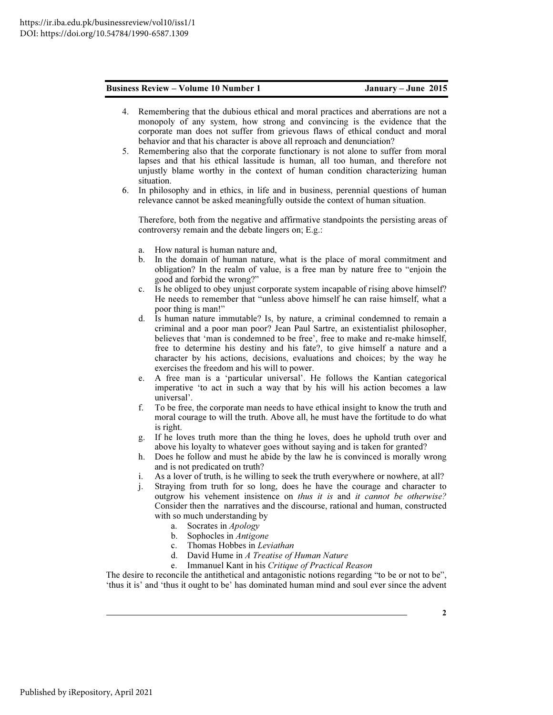- 4. Remembering that the dubious ethical and moral practices and aberrations are not a monopoly of any system, how strong and convincing is the evidence that the corporate man does not suffer from grievous flaws of ethical conduct and moral behavior and that his character is above all reproach and denunciation?
- 5. Remembering also that the corporate functionary is not alone to suffer from moral lapses and that his ethical lassitude is human, all too human, and therefore not unjustly blame worthy in the context of human condition characterizing human situation.
- 6. In philosophy and in ethics, in life and in business, perennial questions of human relevance cannot be asked meaningfully outside the context of human situation.

Therefore, both from the negative and affirmative standpoints the persisting areas of controversy remain and the debate lingers on; E.g.:

- a. How natural is human nature and,
- b. In the domain of human nature, what is the place of moral commitment and obligation? In the realm of value, is a free man by nature free to "enjoin the good and forbid the wrong?"
- c. Is he obliged to obey unjust corporate system incapable of rising above himself? He needs to remember that "unless above himself he can raise himself, what a poor thing is man!"
- d. Is human nature immutable? Is, by nature, a criminal condemned to remain a criminal and a poor man poor? Jean Paul Sartre, an existentialist philosopher, believes that 'man is condemned to be free', free to make and re-make himself, free to determine his destiny and his fate?, to give himself a nature and a character by his actions, decisions, evaluations and choices; by the way he exercises the freedom and his will to power.
- e. A free man is a 'particular universal'. He follows the Kantian categorical imperative 'to act in such a way that by his will his action becomes a law universal'.
- f. To be free, the corporate man needs to have ethical insight to know the truth and moral courage to will the truth. Above all, he must have the fortitude to do what is right.
- g. If he loves truth more than the thing he loves, does he uphold truth over and above his loyalty to whatever goes without saying and is taken for granted?
- h. Does he follow and must he abide by the law he is convinced is morally wrong and is not predicated on truth?
- i. As a lover of truth, is he willing to seek the truth everywhere or nowhere, at all?
- j. Straying from truth for so long, does he have the courage and character to outgrow his vehement insistence on thus it is and it cannot be otherwise? Consider then the narratives and the discourse, rational and human, constructed with so much understanding by
	- a. Socrates in Apology
	- b. Sophocles in Antigone
	- c. Thomas Hobbes in Leviathan
	- d. David Hume in A Treatise of Human Nature
	- e. Immanuel Kant in his Critique of Practical Reason

The desire to reconcile the antithetical and antagonistic notions regarding "to be or not to be", 'thus it is' and 'thus it ought to be' has dominated human mind and soul ever since the advent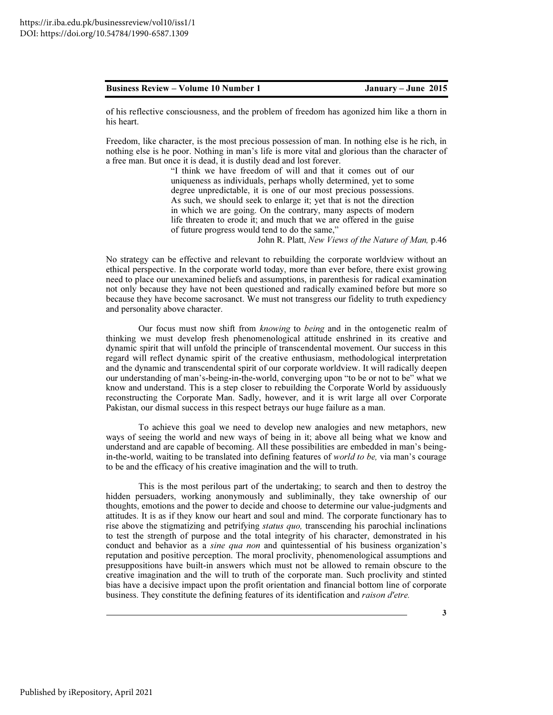of his reflective consciousness, and the problem of freedom has agonized him like a thorn in his heart.

Freedom, like character, is the most precious possession of man. In nothing else is he rich, in nothing else is he poor. Nothing in man's life is more vital and glorious than the character of a free man. But once it is dead, it is dustily dead and lost forever.

> "I think we have freedom of will and that it comes out of our uniqueness as individuals, perhaps wholly determined, yet to some degree unpredictable, it is one of our most precious possessions. As such, we should seek to enlarge it; yet that is not the direction in which we are going. On the contrary, many aspects of modern life threaten to erode it; and much that we are offered in the guise of future progress would tend to do the same,"

> > John R. Platt, New Views of the Nature of Man, p.46

No strategy can be effective and relevant to rebuilding the corporate worldview without an ethical perspective. In the corporate world today, more than ever before, there exist growing need to place our unexamined beliefs and assumptions, in parenthesis for radical examination not only because they have not been questioned and radically examined before but more so because they have become sacrosanct. We must not transgress our fidelity to truth expediency and personality above character.

Our focus must now shift from knowing to being and in the ontogenetic realm of thinking we must develop fresh phenomenological attitude enshrined in its creative and dynamic spirit that will unfold the principle of transcendental movement. Our success in this regard will reflect dynamic spirit of the creative enthusiasm, methodological interpretation and the dynamic and transcendental spirit of our corporate worldview. It will radically deepen our understanding of man's-being-in-the-world, converging upon "to be or not to be" what we know and understand. This is a step closer to rebuilding the Corporate World by assiduously reconstructing the Corporate Man. Sadly, however, and it is writ large all over Corporate Pakistan, our dismal success in this respect betrays our huge failure as a man.

To achieve this goal we need to develop new analogies and new metaphors, new ways of seeing the world and new ways of being in it; above all being what we know and understand and are capable of becoming. All these possibilities are embedded in man's beingin-the-world, waiting to be translated into defining features of world to be, via man's courage to be and the efficacy of his creative imagination and the will to truth.

This is the most perilous part of the undertaking; to search and then to destroy the hidden persuaders, working anonymously and subliminally, they take ownership of our thoughts, emotions and the power to decide and choose to determine our value-judgments and attitudes. It is as if they know our heart and soul and mind. The corporate functionary has to rise above the stigmatizing and petrifying *status quo*, transcending his parochial inclinations to test the strength of purpose and the total integrity of his character, demonstrated in his conduct and behavior as a *sine qua non* and quintessential of his business organization's reputation and positive perception. The moral proclivity, phenomenological assumptions and presuppositions have built-in answers which must not be allowed to remain obscure to the creative imagination and the will to truth of the corporate man. Such proclivity and stinted bias have a decisive impact upon the profit orientation and financial bottom line of corporate business. They constitute the defining features of its identification and *raison d'etre*.